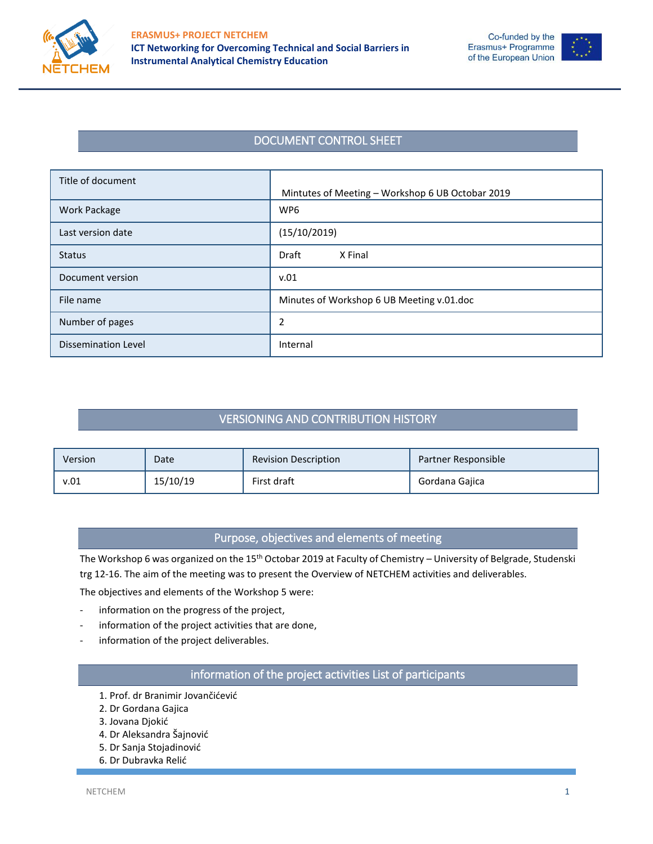



## DOCUMENT CONTROL SHEET

| Title of document   |                                                  |  |  |
|---------------------|--------------------------------------------------|--|--|
|                     | Mintutes of Meeting - Workshop 6 UB Octobar 2019 |  |  |
| <b>Work Package</b> | WP <sub>6</sub>                                  |  |  |
| Last version date   | (15/10/2019)                                     |  |  |
| <b>Status</b>       | X Final<br><b>Draft</b>                          |  |  |
| Document version    | v.01                                             |  |  |
| File name           | Minutes of Workshop 6 UB Meeting v.01.doc        |  |  |
| Number of pages     | $\overline{2}$                                   |  |  |
| Dissemination Level | Internal                                         |  |  |

# VERSIONING AND CONTRIBUTION HISTORY

| Version | Date     | <b>Revision Description</b> | Partner Responsible |
|---------|----------|-----------------------------|---------------------|
| v.01    | 15/10/19 | First draft                 | Gordana Gajica      |

### Purpose, objectives and elements of meeting

The Workshop 6 was organized on the 15<sup>th</sup> Octobar 2019 at Faculty of Chemistry – University of Belgrade, Studenski trg 12-16. The aim of the meeting was to present the Overview of NETCHEM activities and deliverables.

The objectives and elements of the Workshop 5 were:

- information on the progress of the project,
- information of the project activities that are done,
- information of the project deliverables.

#### information of the project activities List of participants

- 1. Prof. dr Branimir Jovančićević
- 2. Dr Gordana Gajica
- 3. Jovana Djokić
- 4. Dr Aleksandra Šajnović
- 5. Dr Sanja Stojadinović
- 6. Dr Dubravka Relić